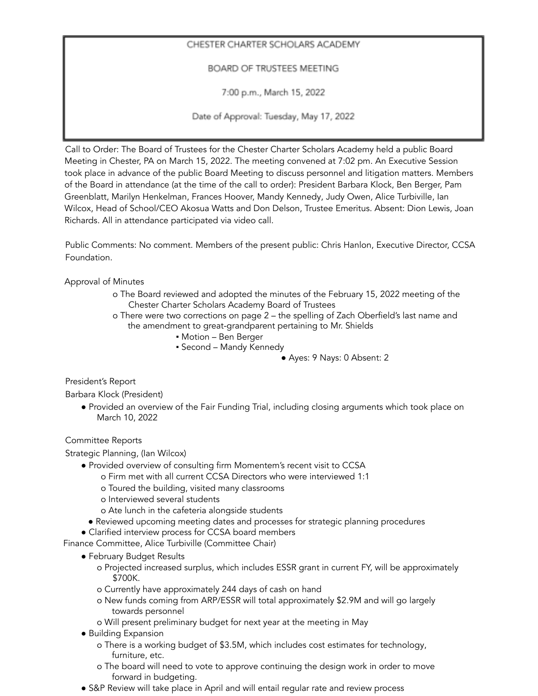## CHESTER CHARTER SCHOLARS ACADEMY

BOARD OF TRUSTEES MEETING

7:00 p.m., March 15, 2022

Date of Approval: Tuesday, May 17, 2022

Call to Order: The Board of Trustees for the Chester Charter Scholars Academy held a public Board Meeting in Chester, PA on March 15, 2022. The meeting convened at 7:02 pm. An Executive Session took place in advance of the public Board Meeting to discuss personnel and litigation matters. Members of the Board in attendance (at the time of the call to order): President Barbara Klock, Ben Berger, Pam Greenblatt, Marilyn Henkelman, Frances Hoover, Mandy Kennedy, Judy Owen, Alice Turbiville, Ian Wilcox, Head of School/CEO Akosua Watts and Don Delson, Trustee Emeritus. Absent: Dion Lewis, Joan Richards. All in attendance participated via video call.

Public Comments: No comment. Members of the present public: Chris Hanlon, Executive Director, CCSA Foundation.

Approval of Minutes

- o The Board reviewed and adopted the minutes of the February 15, 2022 meeting of the Chester Charter Scholars Academy Board of Trustees
- o There were two corrections on page 2 the spelling of Zach Oberfield's last name and the amendment to great-grandparent pertaining to Mr. Shields
	- Motion Ben Berger
	- Second Mandy Kennedy

## ● Ayes: 9 Nays: 0 Absent: 2

President's Report

Barbara Klock (President)

● Provided an overview of the Fair Funding Trial, including closing arguments which took place on March 10, 2022

Committee Reports

Strategic Planning, (Ian Wilcox)

- Provided overview of consulting firm Momentem's recent visit to CCSA
	- o Firm met with all current CCSA Directors who were interviewed 1:1
		- o Toured the building, visited many classrooms
	- o Interviewed several students
	- o Ate lunch in the cafeteria alongside students
	- Reviewed upcoming meeting dates and processes for strategic planning procedures
- Clarified interview process for CCSA board members

Finance Committee, Alice Turbiville (Committee Chair)

- February Budget Results
	- o Projected increased surplus, which includes ESSR grant in current FY, will be approximately \$700K.
	- o Currently have approximately 244 days of cash on hand
	- o New funds coming from ARP/ESSR will total approximately \$2.9M and will go largely towards personnel
	- o Will present preliminary budget for next year at the meeting in May
- Building Expansion
	- o There is a working budget of \$3.5M, which includes cost estimates for technology, furniture, etc.
	- o The board will need to vote to approve continuing the design work in order to move forward in budgeting.
- S&P Review will take place in April and will entail regular rate and review process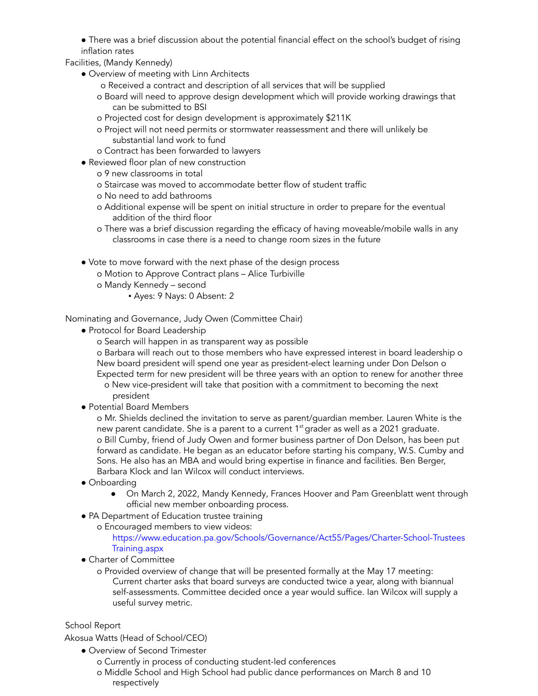● There was a brief discussion about the potential financial effect on the school's budget of rising inflation rates

Facilities, (Mandy Kennedy)

- Overview of meeting with Linn Architects
	- o Received a contract and description of all services that will be supplied
	- o Board will need to approve design development which will provide working drawings that can be submitted to BSI
	- o Projected cost for design development is approximately \$211K
	- o Project will not need permits or stormwater reassessment and there will unlikely be substantial land work to fund
	- o Contract has been forwarded to lawyers
- Reviewed floor plan of new construction
	- o 9 new classrooms in total
	- o Staircase was moved to accommodate better flow of student traffic
	- o No need to add bathrooms
	- o Additional expense will be spent on initial structure in order to prepare for the eventual addition of the third floor
	- o There was a brief discussion regarding the efficacy of having moveable/mobile walls in any classrooms in case there is a need to change room sizes in the future
- Vote to move forward with the next phase of the design process
	- o Motion to Approve Contract plans Alice Turbiville
	- o Mandy Kennedy second
		- Ayes: 9 Nays: 0 Absent: 2

Nominating and Governance, Judy Owen (Committee Chair)

- Protocol for Board Leadership
	- o Search will happen in as transparent way as possible

o Barbara will reach out to those members who have expressed interest in board leadership o New board president will spend one year as president-elect learning under Don Delson o Expected term for new president will be three years with an option to renew for another three

- o New vice-president will take that position with a commitment to becoming the next president
- Potential Board Members

o Mr. Shields declined the invitation to serve as parent/guardian member. Lauren White is the new parent candidate. She is a parent to a current  $1<sup>st</sup>$  grader as well as a 2021 graduate. o Bill Cumby, friend of Judy Owen and former business partner of Don Delson, has been put forward as candidate. He began as an educator before starting his company, W.S. Cumby and Sons. He also has an MBA and would bring expertise in finance and facilities. Ben Berger, Barbara Klock and Ian Wilcox will conduct interviews.

- Onboarding
	- On March 2, 2022, Mandy Kennedy, Frances Hoover and Pam Greenblatt went through official new member onboarding process.
- PA Department of Education trustee training
	- o Encouraged members to view videos:

https://www.education.pa.gov/Schools/Governance/Act55/Pages/Charter-School-Trustees Training.aspx

● Charter of Committee

o Provided overview of change that will be presented formally at the May 17 meeting: Current charter asks that board surveys are conducted twice a year, along with biannual self-assessments. Committee decided once a year would suffice. Ian Wilcox will supply a useful survey metric.

## School Report

Akosua Watts (Head of School/CEO)

- Overview of Second Trimester
	- o Currently in process of conducting student-led conferences
	- o Middle School and High School had public dance performances on March 8 and 10 respectively